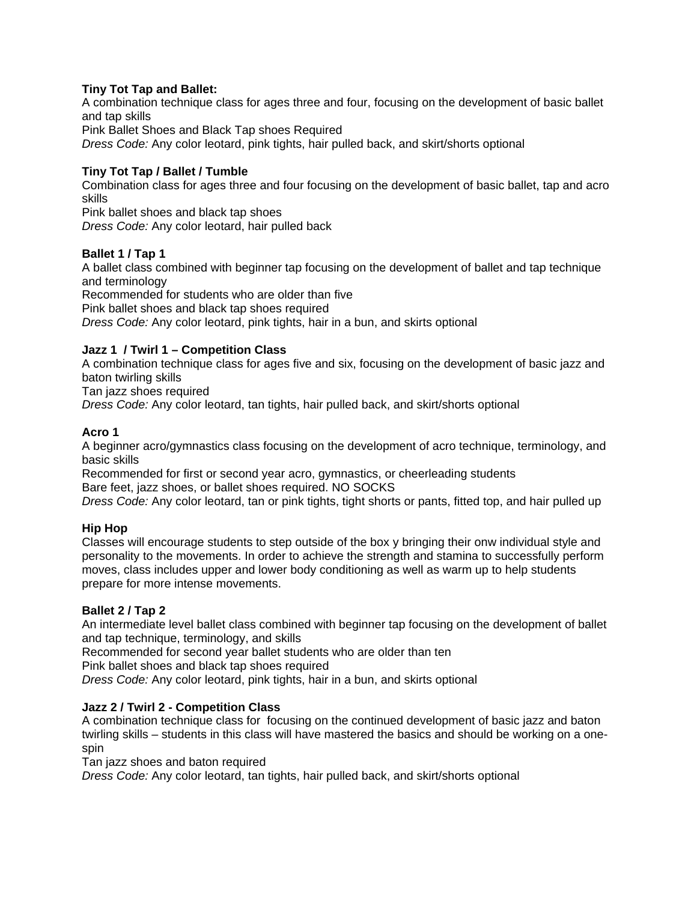## **Tiny Tot Tap and Ballet:**

A combination technique class for ages three and four, focusing on the development of basic ballet and tap skills Pink Ballet Shoes and Black Tap shoes Required *Dress Code:* Any color leotard, pink tights, hair pulled back, and skirt/shorts optional

# **Tiny Tot Tap / Ballet / Tumble**

Combination class for ages three and four focusing on the development of basic ballet, tap and acro skills

Pink ballet shoes and black tap shoes *Dress Code:* Any color leotard, hair pulled back

## **Ballet 1 / Tap 1**

A ballet class combined with beginner tap focusing on the development of ballet and tap technique and terminology

Recommended for students who are older than five

Pink ballet shoes and black tap shoes required

*Dress Code:* Any color leotard, pink tights, hair in a bun, and skirts optional

## **Jazz 1 / Twirl 1 – Competition Class**

A combination technique class for ages five and six, focusing on the development of basic jazz and baton twirling skills

Tan jazz shoes required

*Dress Code:* Any color leotard, tan tights, hair pulled back, and skirt/shorts optional

## **Acro 1**

A beginner acro/gymnastics class focusing on the development of acro technique, terminology, and basic skills

Recommended for first or second year acro, gymnastics, or cheerleading students Bare feet, jazz shoes, or ballet shoes required. NO SOCKS

*Dress Code:* Any color leotard, tan or pink tights, tight shorts or pants, fitted top, and hair pulled up

### **Hip Hop**

Classes will encourage students to step outside of the box y bringing their onw individual style and personality to the movements. In order to achieve the strength and stamina to successfully perform moves, class includes upper and lower body conditioning as well as warm up to help students prepare for more intense movements.

### **Ballet 2 / Tap 2**

An intermediate level ballet class combined with beginner tap focusing on the development of ballet and tap technique, terminology, and skills

Recommended for second year ballet students who are older than ten

Pink ballet shoes and black tap shoes required

*Dress Code:* Any color leotard, pink tights, hair in a bun, and skirts optional

### **Jazz 2 / Twirl 2 - Competition Class**

A combination technique class for focusing on the continued development of basic jazz and baton twirling skills – students in this class will have mastered the basics and should be working on a onespin

Tan jazz shoes and baton required

*Dress Code:* Any color leotard, tan tights, hair pulled back, and skirt/shorts optional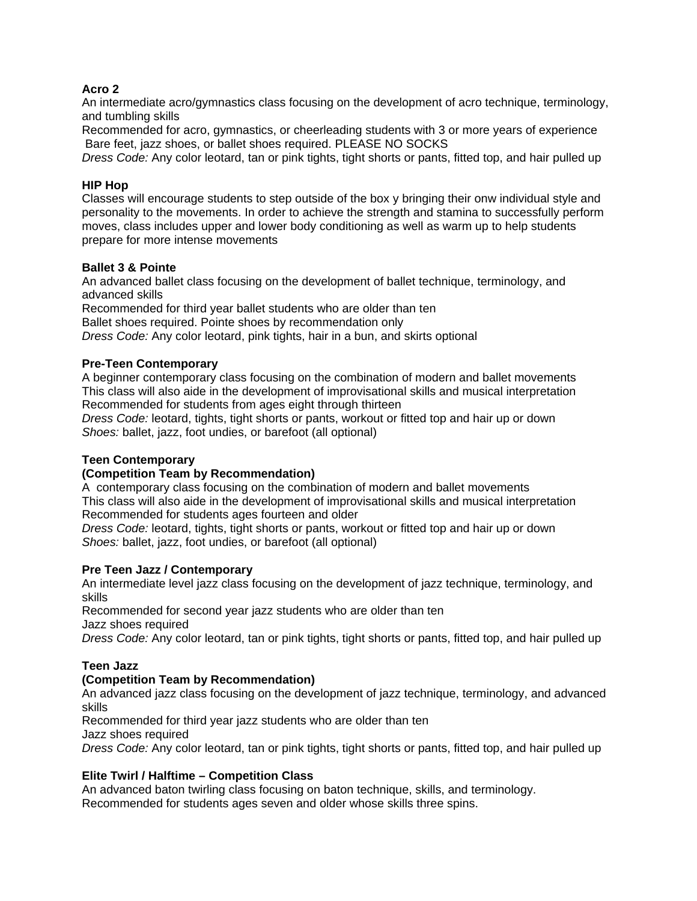### **Acro 2**

An intermediate acro/gymnastics class focusing on the development of acro technique, terminology, and tumbling skills

Recommended for acro, gymnastics, or cheerleading students with 3 or more years of experience Bare feet, jazz shoes, or ballet shoes required. PLEASE NO SOCKS

*Dress Code:* Any color leotard, tan or pink tights, tight shorts or pants, fitted top, and hair pulled up

### **HIP Hop**

Classes will encourage students to step outside of the box y bringing their onw individual style and personality to the movements. In order to achieve the strength and stamina to successfully perform moves, class includes upper and lower body conditioning as well as warm up to help students prepare for more intense movements

### **Ballet 3 & Pointe**

An advanced ballet class focusing on the development of ballet technique, terminology, and advanced skills

Recommended for third year ballet students who are older than ten Ballet shoes required. Pointe shoes by recommendation only *Dress Code:* Any color leotard, pink tights, hair in a bun, and skirts optional

## **Pre-Teen Contemporary**

A beginner contemporary class focusing on the combination of modern and ballet movements This class will also aide in the development of improvisational skills and musical interpretation Recommended for students from ages eight through thirteen

*Dress Code:* leotard, tights, tight shorts or pants, workout or fitted top and hair up or down *Shoes:* ballet, jazz, foot undies, or barefoot (all optional)

### **Teen Contemporary**

### **(Competition Team by Recommendation)**

A contemporary class focusing on the combination of modern and ballet movements This class will also aide in the development of improvisational skills and musical interpretation Recommended for students ages fourteen and older

*Dress Code:* leotard, tights, tight shorts or pants, workout or fitted top and hair up or down *Shoes:* ballet, jazz, foot undies, or barefoot (all optional)

### **Pre Teen Jazz / Contemporary**

An intermediate level jazz class focusing on the development of jazz technique, terminology, and skills

Recommended for second year jazz students who are older than ten

Jazz shoes required

*Dress Code:* Any color leotard, tan or pink tights, tight shorts or pants, fitted top, and hair pulled up

# **Teen Jazz**

# **(Competition Team by Recommendation)**

An advanced jazz class focusing on the development of jazz technique, terminology, and advanced skills

Recommended for third year jazz students who are older than ten

Jazz shoes required

*Dress Code:* Any color leotard, tan or pink tights, tight shorts or pants, fitted top, and hair pulled up

# **Elite Twirl / Halftime – Competition Class**

An advanced baton twirling class focusing on baton technique, skills, and terminology. Recommended for students ages seven and older whose skills three spins.